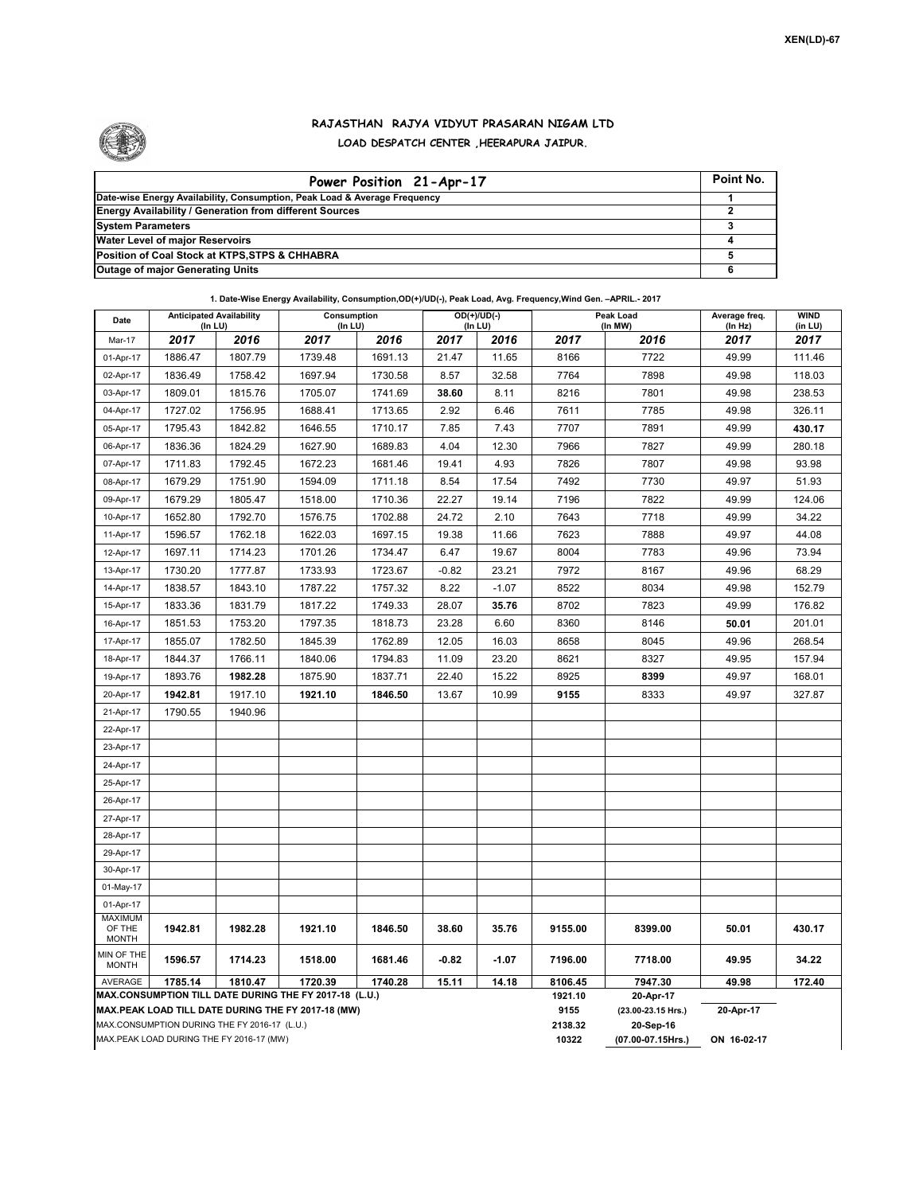

## **RAJASTHAN RAJYA VIDYUT PRASARAN NIGAM LTD LOAD DESPATCH CENTER ,HEERAPURA JAIPUR.**

| Power Position 21-Apr-17                                                  | Point No. |
|---------------------------------------------------------------------------|-----------|
| Date-wise Energy Availability, Consumption, Peak Load & Average Frequency |           |
| <b>Energy Availability / Generation from different Sources</b>            |           |
| <b>System Parameters</b>                                                  |           |
| <b>Water Level of major Reservoirs</b>                                    |           |
| Position of Coal Stock at KTPS, STPS & CHHABRA                            |           |
| <b>Outage of major Generating Units</b>                                   |           |

**1. Date-Wise Energy Availability, Consumption,OD(+)/UD(-), Peak Load, Avg. Frequency,Wind Gen. –APRIL.- 2017**

| Date                                                                                                         | <b>Anticipated Availability</b><br>$($ In LU $)$ |         | Consumption<br>$($ In LU $)$ |                 | $OD(+)/UD(-)$<br>(In LU)        |             |                    | Peak Load<br>(In MW) | Average freq.<br>(In Hz) | <b>WIND</b><br>(in LU) |  |  |
|--------------------------------------------------------------------------------------------------------------|--------------------------------------------------|---------|------------------------------|-----------------|---------------------------------|-------------|--------------------|----------------------|--------------------------|------------------------|--|--|
| Mar-17                                                                                                       | 2017                                             | 2016    | 2017                         | 2016            | 2017                            | 2016        | 2017               | 2016                 | 2017                     | 2017                   |  |  |
| 01-Apr-17                                                                                                    | 1886.47                                          | 1807.79 | 1739.48                      | 1691.13         | 21.47                           | 11.65       | 8166               | 7722                 | 49.99                    | 111.46                 |  |  |
| 02-Apr-17                                                                                                    | 1836.49                                          | 1758.42 | 1697.94                      | 1730.58         | 8.57                            | 32.58       | 7764               | 7898                 | 49.98                    | 118.03                 |  |  |
| 03-Apr-17                                                                                                    | 1809.01                                          | 1815.76 | 1705.07                      | 1741.69         | 38.60                           | 8.11        | 8216               | 7801                 | 49.98                    | 238.53                 |  |  |
| 04-Apr-17                                                                                                    | 1727.02                                          | 1756.95 | 1688.41                      | 1713.65         | 2.92                            | 6.46        | 7611               | 7785                 | 49.98                    | 326.11                 |  |  |
| 05-Apr-17                                                                                                    | 1795.43                                          | 1842.82 | 1646.55                      | 1710.17         | 7.85                            | 7.43        | 7707               | 7891                 | 49.99                    | 430.17                 |  |  |
| 06-Apr-17                                                                                                    | 1836.36                                          | 1824.29 | 1627.90                      | 1689.83         | 4.04                            | 12.30       | 7966               | 7827                 | 49.99                    | 280.18                 |  |  |
| 07-Apr-17                                                                                                    | 1711.83                                          | 1792.45 | 1672.23                      | 1681.46         | 19.41                           | 4.93        | 7826               | 7807                 | 49.98                    | 93.98                  |  |  |
| 08-Apr-17                                                                                                    | 1679.29                                          | 1751.90 | 1594.09                      | 1711.18         | 8.54                            | 17.54       | 7492               | 7730                 | 49.97                    | 51.93                  |  |  |
| 09-Apr-17                                                                                                    | 1679.29                                          | 1805.47 | 1518.00                      | 1710.36         | 22.27                           | 19.14       | 7196               | 7822                 | 49.99                    | 124.06                 |  |  |
| 10-Apr-17                                                                                                    | 1652.80                                          | 1792.70 | 1576.75                      | 1702.88         | 24.72                           | 2.10        | 7643               | 7718                 | 49.99                    | 34.22                  |  |  |
| 11-Apr-17                                                                                                    | 1596.57                                          | 1762.18 | 1622.03                      | 1697.15         | 19.38                           | 11.66       | 7623               | 7888                 | 49.97                    | 44.08                  |  |  |
| 12-Apr-17                                                                                                    | 1697.11                                          | 1714.23 | 1701.26                      | 1734.47         | 6.47                            | 19.67       | 8004               | 7783                 | 49.96                    | 73.94                  |  |  |
| 13-Apr-17                                                                                                    | 1730.20                                          | 1777.87 | 1733.93                      | 1723.67         | $-0.82$                         | 23.21       | 7972               | 8167                 | 49.96                    | 68.29                  |  |  |
| 14-Apr-17                                                                                                    | 1838.57                                          | 1843.10 | 1787.22                      | 1757.32         | 8.22                            | $-1.07$     | 8522               | 8034                 | 49.98                    | 152.79                 |  |  |
| 15-Apr-17                                                                                                    | 1833.36                                          | 1831.79 | 1817.22                      | 1749.33         | 28.07                           | 35.76       | 8702               | 7823                 | 49.99                    | 176.82                 |  |  |
| 16-Apr-17                                                                                                    | 1851.53                                          | 1753.20 | 1797.35                      | 1818.73         | 23.28                           | 6.60        | 8360               | 8146                 | 50.01                    | 201.01                 |  |  |
| 17-Apr-17                                                                                                    | 1855.07                                          | 1782.50 | 1845.39                      | 1762.89         | 12.05                           | 16.03       | 8658               | 8045                 | 49.96                    | 268.54                 |  |  |
| 18-Apr-17                                                                                                    | 1844.37                                          | 1766.11 | 1840.06                      | 1794.83         | 11.09                           | 23.20       | 8621               | 8327                 | 49.95                    | 157.94                 |  |  |
| 19-Apr-17                                                                                                    | 1893.76                                          | 1982.28 | 1875.90                      | 1837.71         | 22.40                           | 15.22       | 8925               | 8399                 | 49.97                    | 168.01                 |  |  |
| 20-Apr-17                                                                                                    | 1942.81                                          | 1917.10 | 1921.10                      | 1846.50         | 13.67                           | 10.99       | 9155               | 8333                 | 49.97                    | 327.87                 |  |  |
| 21-Apr-17                                                                                                    | 1790.55                                          | 1940.96 |                              |                 |                                 |             |                    |                      |                          |                        |  |  |
| 22-Apr-17                                                                                                    |                                                  |         |                              |                 |                                 |             |                    |                      |                          |                        |  |  |
| 23-Apr-17                                                                                                    |                                                  |         |                              |                 |                                 |             |                    |                      |                          |                        |  |  |
| 24-Apr-17                                                                                                    |                                                  |         |                              |                 |                                 |             |                    |                      |                          |                        |  |  |
| 25-Apr-17                                                                                                    |                                                  |         |                              |                 |                                 |             |                    |                      |                          |                        |  |  |
| 26-Apr-17                                                                                                    |                                                  |         |                              |                 |                                 |             |                    |                      |                          |                        |  |  |
| 27-Apr-17                                                                                                    |                                                  |         |                              |                 |                                 |             |                    |                      |                          |                        |  |  |
| 28-Apr-17                                                                                                    |                                                  |         |                              |                 |                                 |             |                    |                      |                          |                        |  |  |
| 29-Apr-17                                                                                                    |                                                  |         |                              |                 |                                 |             |                    |                      |                          |                        |  |  |
| 30-Apr-17                                                                                                    |                                                  |         |                              |                 |                                 |             |                    |                      |                          |                        |  |  |
| 01-May-17                                                                                                    |                                                  |         |                              |                 |                                 |             |                    |                      |                          |                        |  |  |
| 01-Apr-17                                                                                                    |                                                  |         |                              |                 |                                 |             |                    |                      |                          |                        |  |  |
| <b>MAXIMUM</b><br>OF THE<br><b>MONTH</b>                                                                     | 1942.81                                          | 1982.28 | 1921.10                      | 1846.50         | 38.60                           | 35.76       | 9155.00            | 8399.00              | 50.01                    | 430.17                 |  |  |
| MIN OF THE<br><b>MONTH</b>                                                                                   | 1596.57                                          | 1714.23 | 1518.00                      | 1681.46         | $-0.82$                         | $-1.07$     | 7196.00            | 7718.00              | 49.95                    | 34.22                  |  |  |
| AVERAGE                                                                                                      | 1785.14                                          | 1810.47 | 1720.39                      | 1740.28         | 15.11                           | 14.18       | 8106.45<br>1921.10 | 7947.30              | 49.98                    | 172.40                 |  |  |
| MAX.CONSUMPTION TILL DATE DURING THE FY 2017-18 (L.U.)<br>MAX.PEAK LOAD TILL DATE DURING THE FY 2017-18 (MW) |                                                  |         |                              |                 |                                 |             |                    | 20-Apr-17            |                          |                        |  |  |
|                                                                                                              | MAX.CONSUMPTION DURING THE FY 2016-17 (L.U.)     |         |                              | 9155<br>2138.32 | (23.00-23.15 Hrs.)<br>20-Sep-16 | 20-Apr-17   |                    |                      |                          |                        |  |  |
|                                                                                                              | MAX.PEAK LOAD DURING THE FY 2016-17 (MW)         |         |                              | 10322           | (07.00-07.15Hrs.)               | ON 16-02-17 |                    |                      |                          |                        |  |  |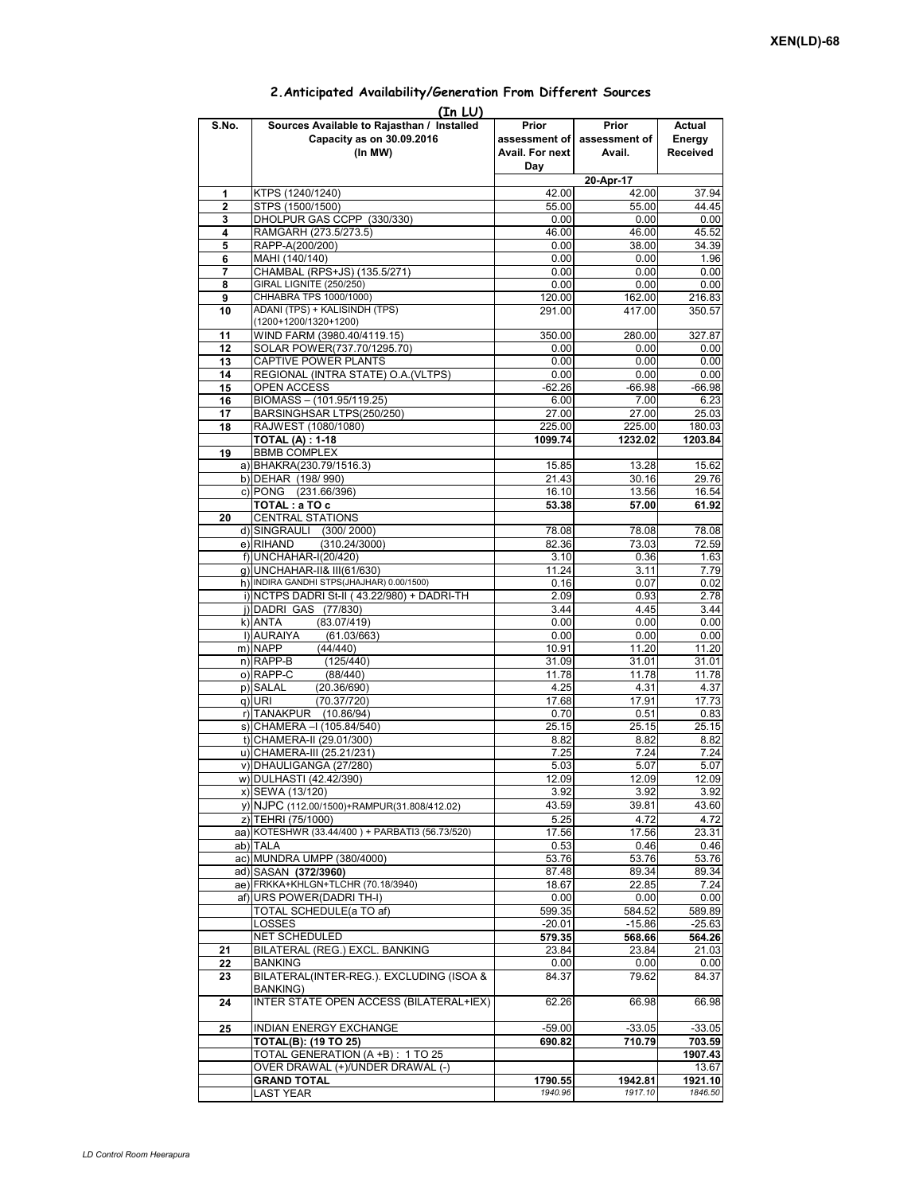## **Prior assessment of Avail. For next Day Prior assessment of Avail. Actual Energy Received**  1 KTPS (1240/1240) 42.00 42.00 37.94<br> **2** STPS (1500/1500) 55.00 55.00 44.45 **2** STPS (1500/1500)<br> **2** STPS (1500/1500)<br> **2** DHOLPUR GAS CCPP (330/330)<br> **2** O.00 0.00 0.00 0.00 0.00 **3** DHOLPUR GAS CCPP (330/330) 0.00 0.00 0.00 0.00<br>**4** RAMGARH (273 5/273 5) 46 00 46 00 45 52 **4** RAMGARH (273.5/273.5) **46.00** 46.00 46.00 45.52<br>**5** RAPP-A(200/200) 6.00 38.00 34.39 **5** RAPP-A(200/200) **6** MAHI (140/140) 0.00 0.00 1.96<br>**7** CHAMBAL (RPS+JS) (135.5/271) 0.00 0.00 0.00 0.00 **7** CHAMBAL (RPS+JS) (135.5/271) 0.00 0.00 **(In LU) S.No. Sources Available to Rajasthan / Installed Capacity as on 30.09.2016 (In MW) 20-Apr-17 8** GIRAL LIGNITE (250/250) **120 CHHABRA TPS 1000/1000)** 120.00 **0.00** 0.00 0.00 0.00<br> **9** CHHABRA TPS 1000/1000) 120.00 162.00 216.83 PO CHHABRA TPS 1000/1000)<br> **9 PO 216.83** CHABINDH (TPS) 291.00 216.83 CHABINDH (TPS) 291.00 221.00 250.57 **10** ADANI (TPS) + KALISINDH (TPS) (1200+1200/1320+1200) 417.00 **11** WIND FARM (3980.40/4119.15) 350.00 280.00 327.87 **12** SOLAR POWER(737.70/1295.70) 0.00 0.00 0.00 0.00 0.00 **13** CAPTIVE POWER PLANTS 0.00 0.00 0.00 **14** REGIONAL (INTRA STATE) O.A. (VLTPS) 0.00<br>**15** OPEN ACCESS -62.26 **15** OPEN ACCESS -62.26 -66.98 -66.98 **16** BIOMASS – (101.95/119.25) 6.00 7.00 6.23 **17** BARSINGHSAR LTPS(250/250) 27.00 27.00 25.03 **18** RAJWEST (1080/1080) **TOTAL (A) : 1-18 1099.74 1232.02 1203.84 19** BBMB COMPLEX a) BHAKRA(230.79/1516.3) 15.85 13.28 15.62<br>b) DFHAR (198/990) 21.43 30.16 29.76 b) DEHAR (198/ 990) c) PONG (231.66/396) 16.10 16.10 16.54<br> **TOTAL**: a TO c 53.38 57.00 61.92 **TOTAL : a TO c 53.38 57.00 61.92 20** CENTRAL STATIONS d) SINGRAULI (300/ 2000) 78.08 78.08 78.08 78.08 78.08 78.08 78.08 78.08 78.08 78.08 78.08 78.08 78.08 78.08 78.08 78.08 78.08 78.08 78.08 78.08 78.08 78.08 78.08 78.08 78.08 78.08 78.08 78.09 78.09 78.09 78.09 78.09 78.09  $(310.24/3000)$ f) UNCHAHAR-I(20/420) 3.10 0.36 1.63<br>a) UNCHAHAR-II& III(61/630) 3.11 7.79 g) UNCHAHAR-II& III(61/630) h) INDIRA GANDHI STPS(JHAJHAR) 0.00/1500)<br>i) INCTPS DADRI St-II (43.22/980) + DADRI-TH 2.09 0.93 2.78 i) NCTPS DADRI St-II ( 43.22/980) + DADRI-TH j) DADRI GAS (77/830) 3.44 4.45 3.44<br>k) ANTA (83.07/419) 4.000 6.00 6.00  $k = \frac{1}{2}$  and  $k = 0.00$ l) AURAIYA (61.03/663) 0.00 0.00 0.00 0.00<br>m) NAPP (44/440) 10.91 11.20 11.20 m) NAPP (44/440) 10.91 11.20 11.20 n) RAPP-B (125/440) 31.09 31.01 31.01 o) RAPP-C (88/440) 11.78 11.78 11.78 11.78 11.78<br>p) SALAL (20.36/690) 4.25 4.31 4.37 p) SALAL (20.36/690) 4.25 4.31 4.37 q)|URI (70.37/720) 17.68 17.91 17.73<br>n)|TANAKPUR (10.86/94) 0.70 0.51 0.83 r) TANAKPUR (10.86/94) 0.70 0.51 0.83 s) CHAMERA –I (105.84/540) 25.15 25.15 25.15 25.15 25.15 25.15 25.15 25.15 25.15 25.15 25.15 25.15 25.15 25.15 t) CHAMERA-II (29.01/300) 8.82 8.82 8.82 u) CHAMERA-III (25.21/231) v) DHAULIGANGA (27/280) 5.03 5.07 5.07 w) DULHASTI (42.42/390) 12.09 12.09 12.09 12.09 12.09<br>x) SEWA (13/120) 3.92 3.92 3.92 x) SEWA (13/120) 3.92 3.92 3.92 y) NJPC (112.00/1500) +RAMPUR(31.808/412.02) 43.59 39.81 43.60<br>z) TEHRI (75/1000) 5.25 4.72 4.72 z) TEHRI (75/1000) 5.25 4.72 4.72<br>
a) KOTESHWR (33.44/400 ) + PARBATI3 (56.73/520) 77.56 17.56 23.31 aa) KOTESHWR (33.44/400 ) + PARBATI3 (56.73/520)<br>ab) TALA ab) TALA 0.53 0.46 0.46 ac) MUNDRA UMPP (380/4000) 53.76 53.76 53.76 53.76 53.76 53.76 53.76 53.76 53.76 53.76 53.76 53.76 53.76 53.76 ad) SASAN **(372/3960)** 89.34 89.34 89.34 89.34 89.34 89.34 89.34 89.34 89.34 89.34 89.34 89.34 89.34 89.34 89.34 89.34 89.34 89.34 89.34 89.34 89.34 89.34 89.34 89.34 89.34 89.34 89.34 89.34 89.34 89.34 89.34 89.34 89.34 8 ae) FRKKA+KHLGN+TLCHR (70.18/3940) 18.67 af) URS POWER(DADRI TH-I)  $\begin{array}{|l|c|c|c|c|}\hline \text{a} & \text{0.00} & \text{0.00} & \text{0.00} \\\hline \text{Total SCHEDULE(a TO af)} & & & 599.35 & 584.52 & 589.89\hline \end{array}$ TOTAL SCHEDULE(a TO af) LOSSES -20.01 -15.86 -25.63 NET SCHEDULED **579.35 568.66 564.26 21** BILATERAL (REG.) EXCL. BANKING 23.84 23.84 21.03 **22** BANKING 0.00 0.00 0.00 0.00 **23** BILATERAL(INTER-REG.). EXCLUDING (ISOA & BANKING) 84.37 79.62 84.37 **24** INTER STATE OPEN ACCESS (BILATERAL+IEX) 62.26 66.98 66.98 **25** INDIAN ENERGY EXCHANGE -59.00 -33.05 -33.05<br> **125 TOTAL(B): (19 TO 25)** -59.00 -33.05 -33.05 -33.05 **TOTAL(B): (19 TO 25) 690.82 710.79 703.59** TOTAL GENERATION (A +B) : 1 TO 25 **1907.43** OVER DRAWAL (+)/UNDER DRAWAL (-)<br>GRAND TOTAL 1942 83. **GRAND TOTAL 1790.55 1942.81 1790.55 1942.81 1921.10 1.657 1790.55 1942.91 1921.10** LAST YEAR *1940.96 1917.10 1846.50*

## **2.Anticipated Availability/Generation From Different Sources**